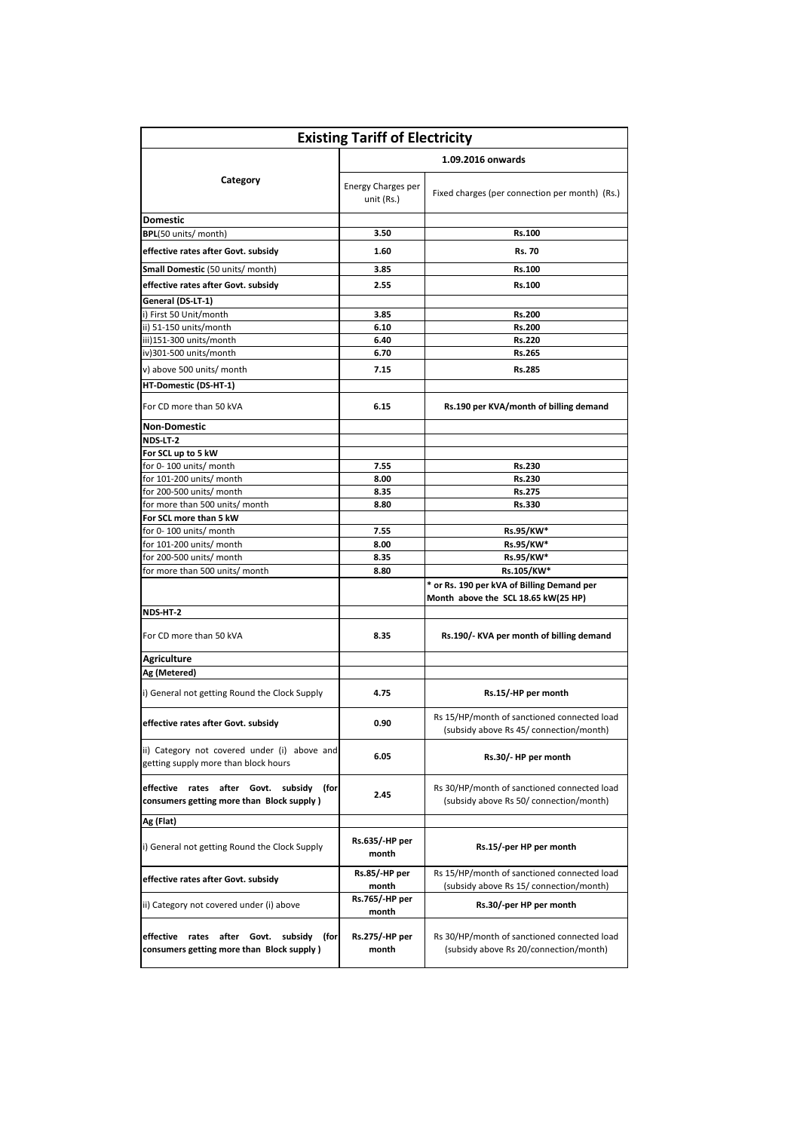|                                                                                       | 1.09.2016 onwards                |                                                                                        |  |
|---------------------------------------------------------------------------------------|----------------------------------|----------------------------------------------------------------------------------------|--|
| Category                                                                              |                                  |                                                                                        |  |
|                                                                                       | Energy Charges per<br>unit (Rs.) | Fixed charges (per connection per month) (Rs.)                                         |  |
| <b>Domestic</b>                                                                       |                                  |                                                                                        |  |
| BPL(50 units/ month)                                                                  | 3.50                             | Rs.100                                                                                 |  |
| effective rates after Govt. subsidy                                                   | 1.60                             | <b>Rs. 70</b>                                                                          |  |
| Small Domestic (50 units/ month)                                                      | 3.85                             | Rs.100                                                                                 |  |
| effective rates after Govt. subsidy                                                   | 2.55                             | Rs.100                                                                                 |  |
| General (DS-LT-1)                                                                     |                                  |                                                                                        |  |
| i) First 50 Unit/month                                                                | 3.85                             | Rs.200                                                                                 |  |
| ii) 51-150 units/month                                                                | 6.10                             | Rs.200                                                                                 |  |
| iii)151-300 units/month                                                               | 6.40                             | Rs.220                                                                                 |  |
| iv)301-500 units/month                                                                | 6.70                             | Rs.265                                                                                 |  |
| v) above 500 units/ month                                                             | 7.15                             | Rs.285                                                                                 |  |
| HT-Domestic (DS-HT-1)                                                                 |                                  |                                                                                        |  |
| For CD more than 50 kVA                                                               | 6.15                             | Rs.190 per KVA/month of billing demand                                                 |  |
| <b>Non-Domestic</b>                                                                   |                                  |                                                                                        |  |
| NDS-LT-2                                                                              |                                  |                                                                                        |  |
| For SCL up to 5 kW                                                                    |                                  |                                                                                        |  |
| for 0-100 units/ month                                                                | 7.55                             | Rs.230                                                                                 |  |
| for 101-200 units/ month                                                              | 8.00                             | Rs.230                                                                                 |  |
| for 200-500 units/ month                                                              | 8.35                             | Rs.275                                                                                 |  |
| for more than 500 units/ month                                                        | 8.80                             | Rs.330                                                                                 |  |
| For SCL more than 5 kW                                                                |                                  |                                                                                        |  |
| for 0-100 units/ month                                                                | 7.55                             | Rs.95/KW*                                                                              |  |
| for 101-200 units/ month                                                              | 8.00                             | Rs.95/KW*                                                                              |  |
| for 200-500 units/ month                                                              | 8.35                             | Rs.95/KW*                                                                              |  |
| for more than 500 units/ month                                                        | 8.80                             | Rs.105/KW*                                                                             |  |
|                                                                                       |                                  | * or Rs. 190 per kVA of Billing Demand per                                             |  |
|                                                                                       |                                  | Month above the SCL 18.65 kW(25 HP)                                                    |  |
| NDS-HT-2                                                                              |                                  |                                                                                        |  |
| For CD more than 50 kVA                                                               | 8.35                             | Rs.190/- KVA per month of billing demand                                               |  |
| <b>Agriculture</b>                                                                    |                                  |                                                                                        |  |
| Ag (Metered)                                                                          |                                  |                                                                                        |  |
| i) General not getting Round the Clock Supply                                         | 4.75                             | Rs.15/-HP per month                                                                    |  |
| effective rates after Govt. subsidv                                                   | 0.90                             | Rs 15/HP/month of sanctioned connected load<br>(subsidy above Rs 45/ connection/month) |  |
| ii) Category not covered under (i) above and<br>getting supply more than block hours  | 6.05                             | Rs.30/- HP per month                                                                   |  |
| effective rates after Govt. subsidy (for<br>consumers getting more than Block supply) | 2.45                             | Rs 30/HP/month of sanctioned connected load<br>(subsidy above Rs 50/ connection/month) |  |
| Ag (Flat)                                                                             |                                  |                                                                                        |  |
| i) General not getting Round the Clock Supply                                         | Rs.635/-HP per<br>month          | Rs.15/-per HP per month                                                                |  |
| effective rates after Govt. subsidy                                                   | Rs.85/-HP per<br>month           | Rs 15/HP/month of sanctioned connected load<br>(subsidy above Rs 15/ connection/month) |  |
| ii) Category not covered under (i) above                                              | Rs.765/-HP per<br>month          | Rs.30/-per HP per month                                                                |  |
| effective rates after Govt. subsidy (for<br>consumers getting more than Block supply) | Rs.275/-HP per<br>month          | Rs 30/HP/month of sanctioned connected load<br>(subsidy above Rs 20/connection/month)  |  |